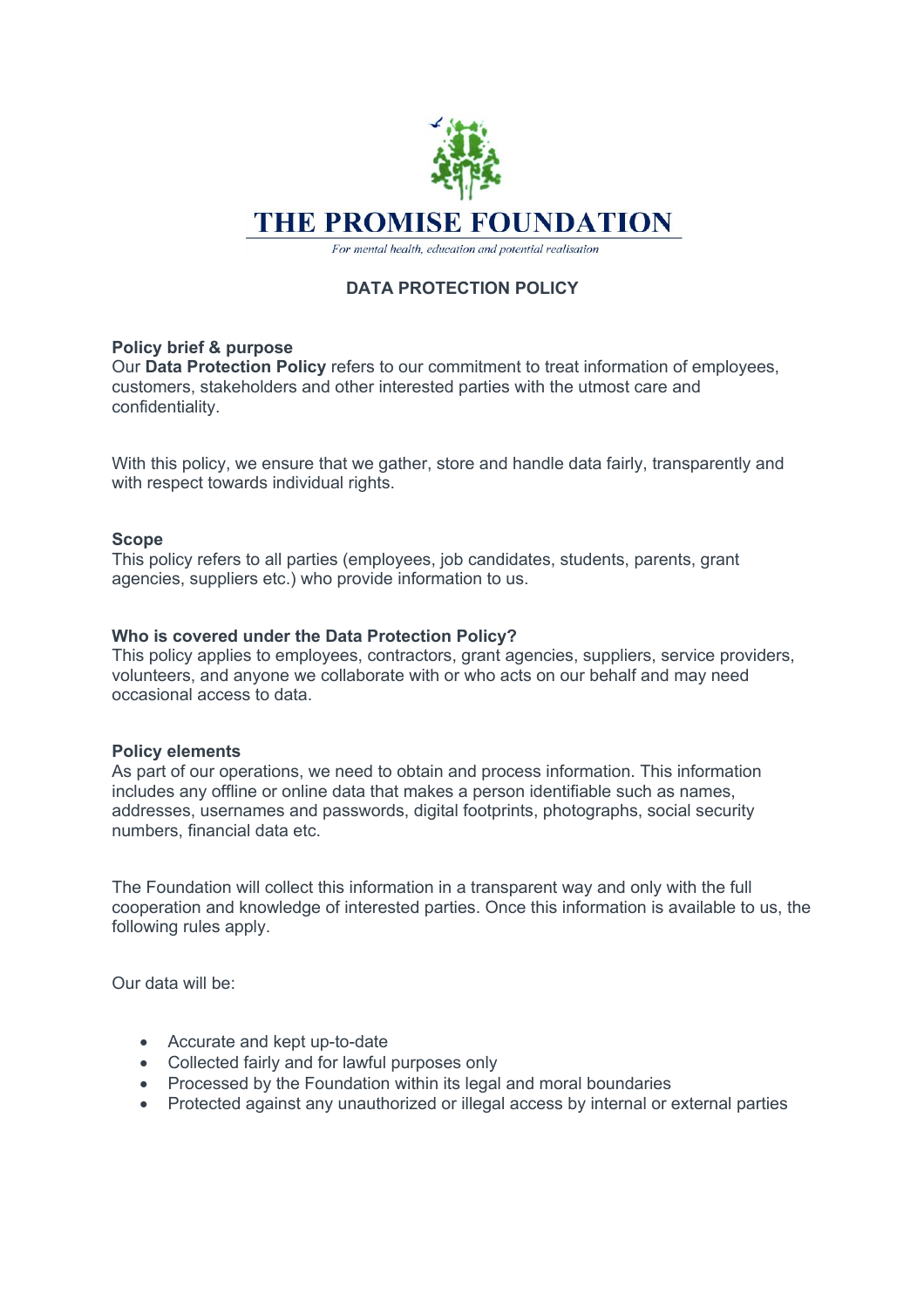

For mental health, education and potential realisation

# **DATA PROTECTION POLICY**

## **Policy brief & purpose**

Our **Data Protection Policy** refers to our commitment to treat information of employees, customers, stakeholders and other interested parties with the utmost care and confidentiality.

With this policy, we ensure that we gather, store and handle data fairly, transparently and with respect towards individual rights.

## **Scope**

This policy refers to all parties (employees, job candidates, students, parents, grant agencies, suppliers etc.) who provide information to us.

## **Who is covered under the Data Protection Policy?**

This policy applies to employees, contractors, grant agencies, suppliers, service providers, volunteers, and anyone we collaborate with or who acts on our behalf and may need occasional access to data.

#### **Policy elements**

As part of our operations, we need to obtain and process information. This information includes any offline or online data that makes a person identifiable such as names, addresses, usernames and passwords, digital footprints, photographs, social security numbers, financial data etc.

The Foundation will collect this information in a transparent way and only with the full cooperation and knowledge of interested parties. Once this information is available to us, the following rules apply.

Our data will be:

- Accurate and kept up-to-date
- Collected fairly and for lawful purposes only
- Processed by the Foundation within its legal and moral boundaries
- Protected against any unauthorized or illegal access by internal or external parties